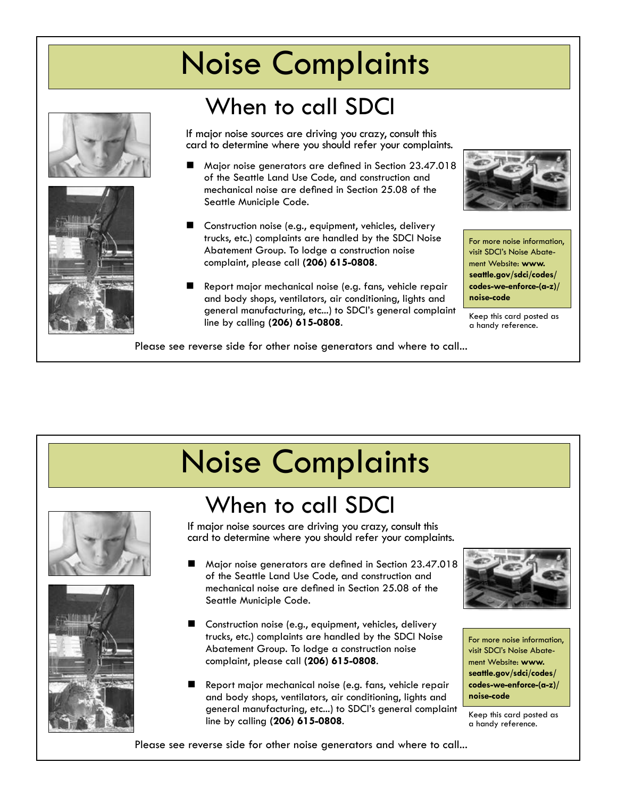## Noise Complaints

## When to call SDCI





If major noise sources are driving you crazy, consult this card to determine where you should refer your complaints.

- Major noise generators are defined in Section 23.47.018 of the Seattle Land Use Code, and construction and mechanical noise are defined in Section 25.08 of the Seattle Municiple Code.
- Construction noise (e.g., equipment, vehicles, delivery trucks, etc.) complaints are handled by the SDCI Noise Abatement Group. To lodge a construction noise complaint, please call **(206) 615-0808**.
- Report major mechanical noise (e.g. fans, vehicle repair and body shops, ventilators, air conditioning, lights and general manufacturing, etc...) to SDCI's general complaint line by calling **(206) 615-0808**.



For more noise information, visit SDCI's Noise Abatement Website: **www. seattle.gov/sdci/codes/ codes-we-enforce-(a-z)/ noise-code**

Keep this card posted as a handy reference.

Please see reverse side for other noise generators and where to call...